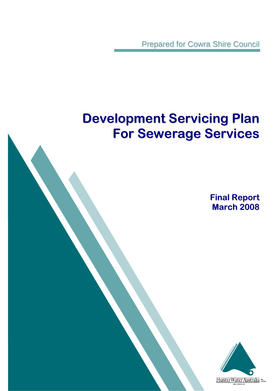Prepared for Cowra Shire Council

# **Development Servicing Plan For Sewerage Services**

**Final Report March 2008**

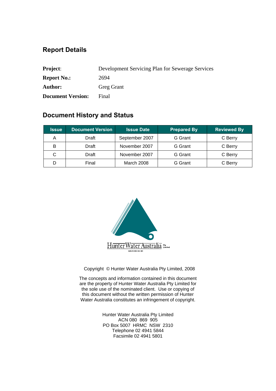## **Report Details**

| <b>Project:</b>          | Development Servicing Plan for Sewerage Services |
|--------------------------|--------------------------------------------------|
| <b>Report No.:</b>       | 2694                                             |
| <b>Author:</b>           | <b>Greg Grant</b>                                |
| <b>Document Version:</b> | Final                                            |

## **Document History and Status**

| <b>Issue</b> | <b>Document Version</b> | <b>Issue Date</b> | <b>Prepared By</b> | <b>Reviewed By</b> |
|--------------|-------------------------|-------------------|--------------------|--------------------|
| Α            | Draft                   | September 2007    | <b>G</b> Grant     | C Berry            |
| Draft<br>В   |                         | November 2007     | G Grant            | C Berry            |
|              | Draft                   | November 2007     | G Grant            | C Berry            |
|              | Final                   | March 2008        | G Grant            | C Berry            |



Copyright © Hunter Water Australia Pty Limited, 2008

The concepts and information contained in this document are the property of Hunter Water Australia Pty Limited for the sole use of the nominated client. Use or copying of this document without the written permission of Hunter Water Australia constitutes an infringement of copyright.

> Hunter Water Australia Pty Limited ACN 080 869 905 PO Box 5007 HRMC NSW 2310 Telephone 02 4941 5844 Facsimile 02 4941 5801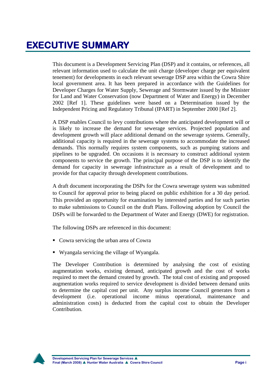This document is a Development Servicing Plan (DSP) and it contains, or references, all relevant information used to calculate the unit charge (developer charge per equivalent tenement) for developments in each relevant sewerage DSP area within the Cowra Shire local government area. It has been prepared in accordance with the Guidelines for Developer Charges for Water Supply, Sewerage and Stormwater issued by the Minister for Land and Water Conservation (now Department of Water and Energy) in December 2002 [Ref 1]. These guidelines were based on a Determination issued by the Independent Pricing and Regulatory Tribunal (IPART) in September 2000 [Ref 2].

A DSP enables Council to levy contributions where the anticipated development will or is likely to increase the demand for sewerage services. Projected population and development growth will place additional demand on the sewerage systems. Generally, additional capacity is required in the sewerage systems to accommodate the increased demands. This normally requires system components, such as pumping stations and pipelines to be upgraded. On occasions it is necessary to construct additional system components to service the growth. The principal purpose of the DSP is to identify the demand for capacity in sewerage infrastructure as a result of development and to provide for that capacity through development contributions.

A draft document incorporating the DSPs for the Cowra sewerage system was submitted to Council for approval prior to being placed on public exhibition for a 30 day period. This provided an opportunity for examination by interested parties and for such parties to make submissions to Council on the draft Plans. Following adoption by Council the DSPs will be forwarded to the Department of Water and Energy (DWE) for registration.

The following DSPs are referenced in this document:

- Cowra servicing the urban area of Cowra
- Wyangala servicing the village of Wyangala.

The Developer Contribution is determined by analysing the cost of existing augmentation works, existing demand, anticipated growth and the cost of works required to meet the demand created by growth. The total cost of existing and proposed augmentation works required to service development is divided between demand units to determine the capital cost per unit. Any surplus income Council generates from a development (i.e. operational income minus operational, maintenance and administration costs) is deducted from the capital cost to obtain the Developer Contribution.

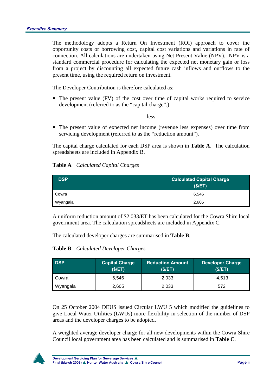The methodology adopts a Return On Investment (ROI) approach to cover the opportunity costs or borrowing cost, capital cost variations and variations in rate of connection. All calculations are undertaken using Net Present Value (NPV). NPV is a standard commercial procedure for calculating the expected net monetary gain or loss from a project by discounting all expected future cash inflows and outflows to the present time, using the required return on investment.

The Developer Contribution is therefore calculated as:

 The present value (PV) of the cost over time of capital works required to service development (referred to as the "capital charge".)

#### less

 The present value of expected net income (revenue less expenses) over time from servicing development (referred to as the "reduction amount").

The capital charge calculated for each DSP area is shown in **Table A**. The calculation spreadsheets are included in Appendix B.

### **Table A** *Calculated Capital Charges*

| <b>DSP</b> | <b>Calculated Capital Charge</b><br>(S/ET) |
|------------|--------------------------------------------|
| Cowra      | 6.546                                      |
| Wyangala   | 2,605                                      |

A uniform reduction amount of \$2,033/ET has been calculated for the Cowra Shire local government area. The calculation spreadsheets are included in Appendix C.

The calculated developer charges are summarised in **Table B**.

### **Table B** *Calculated Developer Charges*

| <b>DSP</b> | <b>Capital Charge</b><br>(S/ET) | <b>Reduction Amount</b><br>(S/ET) | <b>Developer Charge</b><br>(S/ET) |
|------------|---------------------------------|-----------------------------------|-----------------------------------|
| Cowra      | 6.546                           | 2,033                             | 4.513                             |
| Wyangala   | 2,605                           | 2,033                             | 572                               |

On 25 October 2004 DEUS issued Circular LWU 5 which modified the guidelines to give Local Water Utilities (LWUs) more flexibility in selection of the number of DSP areas and the developer charges to be adopted.

A weighted average developer charge for all new developments within the Cowra Shire Council local government area has been calculated and is summarised in **Table C**.

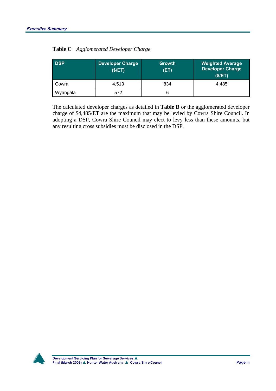| <b>DSP</b> | <b>Developer Charge</b><br>(\$/ET) | <b>Growth</b><br>(ET) | <b>Weighted Average</b><br><b>Developer Charge</b><br>(\$/ET) |
|------------|------------------------------------|-----------------------|---------------------------------------------------------------|
| Cowra      | 4.513                              | 834                   | 4.485                                                         |
| Wyangala   | 572                                |                       |                                                               |

|  | Table C Agglomerated Developer Charge |  |  |
|--|---------------------------------------|--|--|
|--|---------------------------------------|--|--|

The calculated developer charges as detailed in **Table B** or the agglomerated developer charge of \$4,485/ET are the maximum that may be levied by Cowra Shire Council. In adopting a DSP, Cowra Shire Council may elect to levy less than these amounts, but any resulting cross subsidies must be disclosed in the DSP.

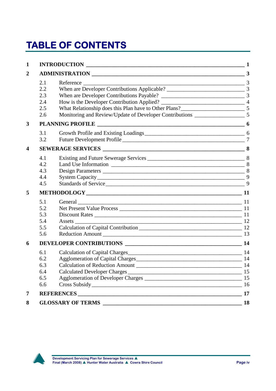# **TABLE OF CONTENTS**

| $\mathbf{1}$            |                                        |                                                                                                                | $\sim$ 1       |
|-------------------------|----------------------------------------|----------------------------------------------------------------------------------------------------------------|----------------|
| $\boldsymbol{2}$        |                                        |                                                                                                                | $\overline{3}$ |
|                         | 2.1<br>2.2<br>2.3<br>2.4<br>2.5<br>2.6 | Reference<br>Monitoring and Review/Update of Developer Contributions _________________________ 5               |                |
| 3                       |                                        | <b>PLANNING PROFILE</b>                                                                                        |                |
|                         | 3.1<br>3.2                             |                                                                                                                |                |
| $\overline{\mathbf{4}}$ |                                        |                                                                                                                |                |
|                         | 4.1<br>4.2<br>4.3<br>4.4<br>4.5        | Standards of Service 500 million and the standards of Service 500 million and the state of Service 500 million | 9              |
| 5                       |                                        |                                                                                                                |                |
|                         | 5.1<br>5.2<br>5.3<br>5.4<br>5.5<br>5.6 | General                                                                                                        |                |
| 6                       |                                        |                                                                                                                | 14             |
|                         | 6.1<br>6.2<br>6.3<br>6.4<br>6.5<br>6.6 | Agglomeration of Capital Charges<br>Calculation of Reduction Amount<br>Cross Subsidy 16                        | -14<br>15      |
| $\overline{7}$          |                                        |                                                                                                                | 17             |
| 8                       |                                        |                                                                                                                |                |

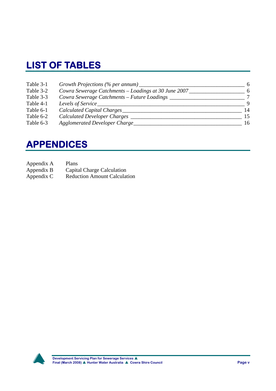## **LIST OF TABLES**

| Table 3-1 | Growth Projections (% per annum)                     | -6           |
|-----------|------------------------------------------------------|--------------|
| Table 3-2 | Cowra Sewerage Catchments – Loadings at 30 June 2007 | 6            |
| Table 3-3 | Cowra Sewerage Catchments - Future Loadings          | 7            |
| Table 4-1 | Levels of Service                                    | <sup>Q</sup> |
| Table 6-1 | Calculated Capital Charges_                          | 14           |
| Table 6-2 | <b>Calculated Developer Charges</b>                  | 15           |
| Table 6-3 | <b>Agglomerated Developer Charge_</b>                | 16           |

## **APPENDICES**

- Appendix A Plans
- Appendix B Capital Charge Calculation
- Appendix C Reduction Amount Calculation

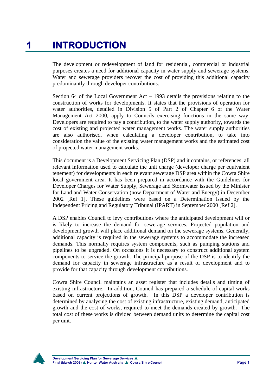The development or redevelopment of land for residential, commercial or industrial purposes creates a need for additional capacity in water supply and sewerage systems. Water and sewerage providers recover the cost of providing this additional capacity predominantly through developer contributions.

Section 64 of the Local Government Act – 1993 details the provisions relating to the construction of works for developments. It states that the provisions of operation for water authorities, detailed in Division 5 of Part 2 of Chapter 6 of the Water Management Act 2000, apply to Councils exercising functions in the same way. Developers are required to pay a contribution, to the water supply authority, towards the cost of existing and projected water management works. The water supply authorities are also authorised, when calculating a developer contribution, to take into consideration the value of the existing water management works and the estimated cost of projected water management works.

This document is a Development Servicing Plan (DSP) and it contains, or references, all relevant information used to calculate the unit charge (developer charge per equivalent tenement) for developments in each relevant sewerage DSP area within the Cowra Shire local government area. It has been prepared in accordance with the Guidelines for Developer Charges for Water Supply, Sewerage and Stormwater issued by the Minister for Land and Water Conservation (now Department of Water and Energy) in December 2002 [Ref 1]. These guidelines were based on a Determination issued by the Independent Pricing and Regulatory Tribunal (IPART) in September 2000 [Ref 2].

A DSP enables Council to levy contributions where the anticipated development will or is likely to increase the demand for sewerage services. Projected population and development growth will place additional demand on the sewerage systems. Generally, additional capacity is required in the sewerage systems to accommodate the increased demands. This normally requires system components, such as pumping stations and pipelines to be upgraded. On occasions it is necessary to construct additional system components to service the growth. The principal purpose of the DSP is to identify the demand for capacity in sewerage infrastructure as a result of development and to provide for that capacity through development contributions.

Cowra Shire Council maintains an asset register that includes details and timing of existing infrastructure. In addition, Council has prepared a schedule of capital works based on current projections of growth. In this DSP a developer contribution is determined by analysing the cost of existing infrastructure, existing demand, anticipated growth and the cost of works, required to meet the demands created by growth. The total cost of these works is divided between demand units to determine the capital cost per unit.

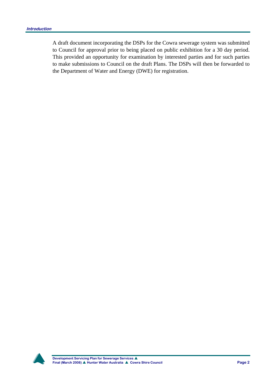A draft document incorporating the DSPs for the Cowra sewerage system was submitted to Council for approval prior to being placed on public exhibition for a 30 day period. This provided an opportunity for examination by interested parties and for such parties to make submissions to Council on the draft Plans. The DSPs will then be forwarded to the Department of Water and Energy (DWE) for registration.

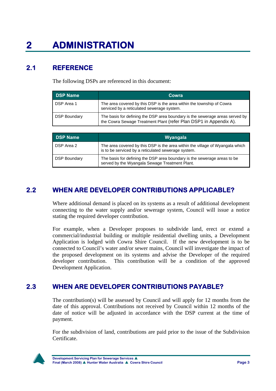## **2.1 REFERENCE**

The following DSPs are referenced in this document:

| <b>DSP Name</b>     | Cowra                                                                                                                                             |
|---------------------|---------------------------------------------------------------------------------------------------------------------------------------------------|
| DSP Area 1          | The area covered by this DSP is the area within the township of Cowra<br>serviced by a reticulated sewerage system.                               |
| <b>DSP Boundary</b> | The basis for defining the DSP area boundary is the sewerage areas served by<br>the Cowra Sewage Treatment Plant (refer Plan DSP1 in Appendix A). |

| <b>DSP Name</b>     | Wyangala                                                                                                                             |
|---------------------|--------------------------------------------------------------------------------------------------------------------------------------|
| DSP Area 2          | The area covered by this DSP is the area within the village of Wyangala which<br>is to be serviced by a reticulated sewerage system. |
| <b>DSP Boundary</b> | The basis for defining the DSP area boundary is the sewerage areas to be<br>served by the Wyangala Sewage Treatment Plant.           |

## **2.2 WHEN ARE DEVELOPER CONTRIBUTIONS APPLICABLE?**

Where additional demand is placed on its systems as a result of additional development connecting to the water supply and/or sewerage system, Council will issue a notice stating the required developer contribution.

For example, when a Developer proposes to subdivide land, erect or extend a commercial/industrial building or multiple residential dwelling units, a Development Application is lodged with Cowra Shire Council. If the new development is to be connected to Council's water and/or sewer mains, Council will investigate the impact of the proposed development on its systems and advise the Developer of the required developer contribution. This contribution will be a condition of the approved Development Application.

## **2.3 WHEN ARE DEVELOPER CONTRIBUTIONS PAYABLE?**

The contribution(s) will be assessed by Council and will apply for 12 months from the date of this approval. Contributions not received by Council within 12 months of the date of notice will be adjusted in accordance with the DSP current at the time of payment.

For the subdivision of land, contributions are paid prior to the issue of the Subdivision Certificate.

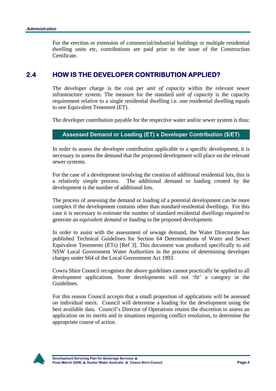For the erection or extension of commercial/industrial buildings or multiple residential dwelling units etc, contributions are paid prior to the issue of the Construction Certificate.

### **2.4 HOW IS THE DEVELOPER CONTRIBUTION APPLIED?**

The developer charge is the cost per *unit of capacity* within the relevant sewer infrastructure system. The measure for the standard *unit of capacity* is the capacity requirement relative to a single residential dwelling i.e. one residential dwelling equals to one Equivalent Tenement (ET).

The developer contribution payable for the respective water and/or sewer system is thus:

### **Assessed Demand or Loading (ET) x Developer Contribution (\$/ET)**

In order to assess the developer contribution applicable to a specific development, it is necessary to assess the demand that the proposed development will place on the relevant sewer systems.

For the case of a development involving the creation of additional residential lots, this is a relatively simple process. The additional demand or loading created by the development is the number of additional lots.

The process of assessing the demand or loading of a potential development can be more complex if the development contains other than standard residential dwellings. For this case it is necessary to estimate the number of standard residential dwellings required to generate an *equivalent demand* or *loading* to the proposed development.

In order to assist with the assessment of sewage demand, the Water Directorate has published Technical Guidelines for Section 64 Determinations of Water and Sewer Equivalent Tenements (ETs) [Ref 3]. This document was produced specifically to aid NSW Local Government Water Authorities in the process of determining developer charges under S64 of the Local Government Act 1993.

Cowra Shire Council recognises the above guidelines cannot practically be applied to all development applications. Some developments will not 'fit' a category in the Guidelines.

For this reason Council accepts that a small proportion of applications will be assessed on individual merit. Council will determine a loading for the development using the best available data. Council's Director of Operations retains the discretion to assess an application on its merits and in situations requiring conflict resolution, to determine the appropriate course of action.

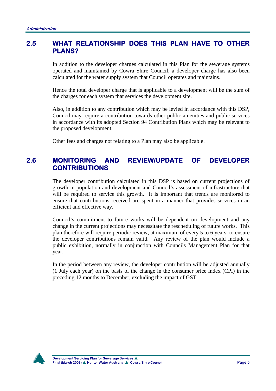### **2.5 WHAT RELATIONSHIP DOES THIS PLAN HAVE TO OTHER PLANS?**

In addition to the developer charges calculated in this Plan for the sewerage systems operated and maintained by Cowra Shire Council, a developer charge has also been calculated for the water supply system that Council operates and maintains.

Hence the total developer charge that is applicable to a development will be the sum of the charges for each system that services the development site.

Also, in addition to any contribution which may be levied in accordance with this DSP, Council may require a contribution towards other public amenities and public services in accordance with its adopted Section 94 Contribution Plans which may be relevant to the proposed development.

Other fees and charges not relating to a Plan may also be applicable.

### **2.6 MONITORING AND REVIEW/UPDATE OF DEVELOPER CONTRIBUTIONS**

The developer contribution calculated in this DSP is based on current projections of growth in population and development and Council's assessment of infrastructure that will be required to service this growth. It is important that trends are monitored to ensure that contributions received are spent in a manner that provides services in an efficient and effective way.

Council's commitment to future works will be dependent on development and any change in the current projections may necessitate the rescheduling of future works. This plan therefore will require periodic review, at maximum of every 5 to 6 years, to ensure the developer contributions remain valid. Any review of the plan would include a public exhibition, normally in conjunction with Councils Management Plan for that year.

In the period between any review, the developer contribution will be adjusted annually (1 July each year) on the basis of the change in the consumer price index (CPI) in the preceding 12 months to December, excluding the impact of GST.

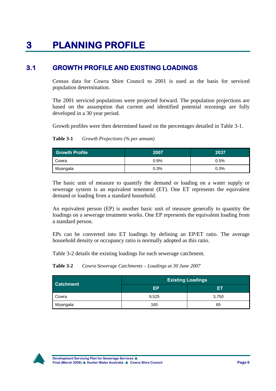## **3 PLANNING PROFILE**

## **3.1 GROWTH PROFILE AND EXISTING LOADINGS**

Census data for Cowra Shire Council to 2001 is used as the basis for serviced population determination.

The 2001 serviced populations were projected forward. The population projections are based on the assumption that current and identified potential rezonings are fully developed in a 30 year period.

Growth profiles were then determined based on the percentages detailed in Table 3-1.

**Table 3-1** *Growth Projections (% per annum)* 

| <b>Growth Profile</b> | 2007    | 2037 |
|-----------------------|---------|------|
| Cowra                 | 0.9%    | 0.5% |
| Wyangala              | $0.3\%$ | 0.3% |

The basic unit of measure to quantify the demand or loading on a water supply or sewerage system is an equivalent tenement (ET). One ET represents the equivalent demand or loading from a standard household.

An equivalent person (EP) is another basic unit of measure generally to quantity the loadings on a sewerage treatment works. One EP represents the equivalent loading from a standard person.

EPs can be converted into ET loadings by defining an EP/ET ratio. The average household density or occupancy ratio is normally adopted as this ratio.

Table 3-2 details the existing loadings for each sewerage catchment.

| Table 3-2 | Cowra Sewerage Catchments - Loadings at 30 June 2007 |  |  |  |
|-----------|------------------------------------------------------|--|--|--|
|-----------|------------------------------------------------------|--|--|--|

| <b>Catchment</b> | <b>Existing Loadings</b> |       |
|------------------|--------------------------|-------|
|                  | ЕP                       | ы     |
| Cowra            | 9,525                    | 3,750 |
| Wyangala         | 165                      | 65    |

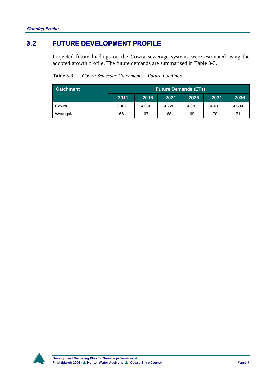## **3.2 FUTURE DEVELOPMENT PROFILE**

Projected future loadings on the Cowra sewerage systems were estimated using the adopted growth profile. The future demands are summarised in Table 3-3.

| Table 3-3 | Cowra Sewerage Catchments – Future Loadings |
|-----------|---------------------------------------------|
|-----------|---------------------------------------------|

| <b>Catchment</b> |       |       |       | <b>Future Demands (ETs)</b> |       |       |  |  |
|------------------|-------|-------|-------|-----------------------------|-------|-------|--|--|
|                  | 2011  | 2016  | 2021  | 2026                        | 2031  | 2036  |  |  |
| Cowra            | 3,802 | 4.060 | 4.226 | 4.383                       | 4.483 | 4.584 |  |  |
| Wyangala         | 66    | 67    | 68    | 69                          | 70    | 71    |  |  |

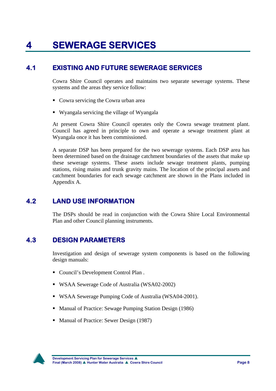# **4 SEWERAGE SERVICES**

## **4.1 EXISTING AND FUTURE SEWERAGE SERVICES**

Cowra Shire Council operates and maintains two separate sewerage systems. These systems and the areas they service follow:

- Cowra servicing the Cowra urban area
- Wyangala servicing the village of Wyangala

At present Cowra Shire Council operates only the Cowra sewage treatment plant. Council has agreed in principle to own and operate a sewage treatment plant at Wyangala once it has been commissioned.

A separate DSP has been prepared for the two sewerage systems. Each DSP area has been determined based on the drainage catchment boundaries of the assets that make up these sewerage systems. These assets include sewage treatment plants, pumping stations, rising mains and trunk gravity mains. The location of the principal assets and catchment boundaries for each sewage catchment are shown in the Plans included in Appendix A.

## **4.2 LAND USE INFORMATION**

The DSPs should be read in conjunction with the Cowra Shire Local Environmental Plan and other Council planning instruments.

## **4.3 DESIGN PARAMETERS**

Investigation and design of sewerage system components is based on the following design manuals:

- Council's Development Control Plan.
- WSAA Sewerage Code of Australia (WSA02-2002)
- WSAA Sewerage Pumping Code of Australia (WSA04-2001).
- Manual of Practice: Sewage Pumping Station Design (1986)
- Manual of Practice: Sewer Design (1987)

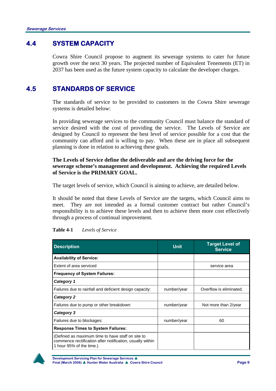## **4.4 SYSTEM CAPACITY**

Cowra Shire Council propose to augment its sewerage systems to cater for future growth over the next 30 years. The projected number of Equivalent Tenements (ET) in 2037 has been used as the future system capacity to calculate the developer charges.

## **4.5 STANDARDS OF SERVICE**

The standards of service to be provided to customers in the Cowra Shire sewerage systems is detailed below:

In providing sewerage services to the community Council must balance the standard of service desired with the cost of providing the service. The Levels of Service are designed by Council to represent the best level of service possible for a cost that the community can afford and is willing to pay. When these are in place all subsequent planning is done in relation to achieving these goals.

### **The Levels of Service define the deliverable and are the driving force for the sewerage scheme's management and development. Achieving the required Levels of Service is the PRIMARY GOAL.**

The target levels of service, which Council is aiming to achieve, are detailed below.

It should be noted that these Levels of Service are the targets, which Council aims to meet. They are not intended as a formal customer contract but rather Council's responsibility is to achieve these levels and then to achieve them more cost effectively through a process of continual improvement.

| <b>Description</b>                                                                                                                         | Unit.       | <b>Target Level of</b><br><b>Service</b> |
|--------------------------------------------------------------------------------------------------------------------------------------------|-------------|------------------------------------------|
| <b>Availability of Service:</b>                                                                                                            |             |                                          |
| Extent of area serviced                                                                                                                    |             | service area                             |
| <b>Frequency of System Failures:</b>                                                                                                       |             |                                          |
| Category 1                                                                                                                                 |             |                                          |
| Failures due to rainfall and deficient design capacity:                                                                                    | number/year | Overflow is eliminated.                  |
| Category 2                                                                                                                                 |             |                                          |
| Failures due to pump or other breakdown:                                                                                                   | number/year | Not more than 2/year                     |
| Category 3                                                                                                                                 |             |                                          |
| Failures due to blockages:                                                                                                                 | number/year | 60                                       |
| <b>Response Times to System Failures:</b>                                                                                                  |             |                                          |
| (Defined as maximum time to have staff on site to<br>commence rectification after notification, usually within<br>1 hour 95% of the time.) |             |                                          |

#### **Table 4-1** *Levels of Service*

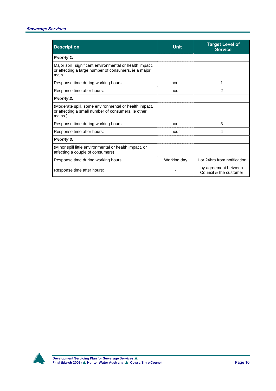| <b>Description</b>                                                                                                        | <b>Unit</b> | <b>Target Level of</b><br><b>Service</b>       |
|---------------------------------------------------------------------------------------------------------------------------|-------------|------------------------------------------------|
| <b>Priority 1:</b>                                                                                                        |             |                                                |
| Major spill, significant environmental or health impact,<br>or affecting a large number of consumers, ie a major<br>main. |             |                                                |
| Response time during working hours:                                                                                       | hour        | 1                                              |
| Response time after hours:                                                                                                | hour        | $\overline{2}$                                 |
| <b>Priority 2:</b>                                                                                                        |             |                                                |
| (Moderate spill, some environmental or health impact,<br>or affecting a small number of consumers, ie other<br>mains.)    |             |                                                |
| Response time during working hours:                                                                                       | hour        | 3                                              |
| Response time after hours:                                                                                                | hour        | 4                                              |
| <b>Priority 3:</b>                                                                                                        |             |                                                |
| (Minor spill little environmental or health impact, or<br>affecting a couple of consumers)                                |             |                                                |
| Response time during working hours:                                                                                       | Working day | 1 or 24hrs from notification                   |
| Response time after hours:                                                                                                |             | by agreement between<br>Council & the customer |

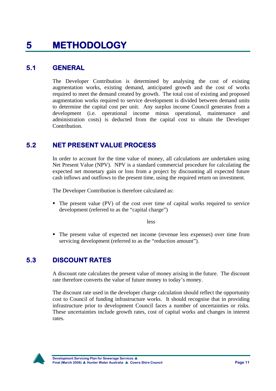## **5.1 GENERAL**

The Developer Contribution is determined by analysing the cost of existing augmentation works, existing demand, anticipated growth and the cost of works required to meet the demand created by growth. The total cost of existing and proposed augmentation works required to service development is divided between demand units to determine the capital cost per unit. Any surplus income Council generates from a development (i.e. operational income minus operational, maintenance and administration costs) is deducted from the capital cost to obtain the Developer Contribution.

## **5.2 NET PRESENT VALUE PROCESS**

In order to account for the time value of money, all calculations are undertaken using Net Present Value (NPV). NPV is a standard commercial procedure for calculating the expected net monetary gain or loss from a project by discounting all expected future cash inflows and outflows to the present time, using the required return on investment.

The Developer Contribution is therefore calculated as:

 The present value (PV) of the cost over time of capital works required to service development (referred to as the "capital charge")

less

 The present value of expected net income (revenue less expenses) over time from servicing development (referred to as the "reduction amount").

## **5.3 DISCOUNT RATES**

A discount rate calculates the present value of money arising in the future. The discount rate therefore converts the value of future money to today's money.

The discount rate used in the developer charge calculation should reflect the opportunity cost to Council of funding infrastructure works. It should recognise that in providing infrastructure prior to development Council faces a number of uncertainties or risks. These uncertainties include growth rates, cost of capital works and changes in interest rates.

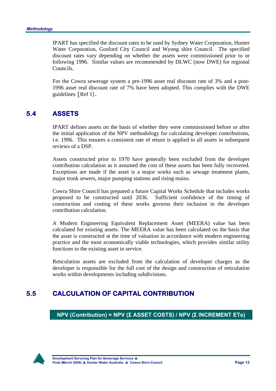IPART has specified the discount rates to be used by Sydney Water Corporation, Hunter Water Corporation, Gosford City Council and Wyong shire Council. The specified discount rates vary depending on whether the assets were commissioned prior to or following 1996. Similar values are recommended by DLWC (now DWE) for regional Councils.

For the Cowra sewerage system a pre-1996 asset real discount rate of 3% and a post-1996 asset real discount rate of 7% have been adopted. This complies with the DWE guidelines [Ref 1].

## **5.4 ASSETS**

IPART defines assets on the basis of whether they were commissioned before or after the initial application of the NPV methodology for calculating developer contributions, i.e. 1996. This ensures a consistent rate of return is applied to all assets in subsequent reviews of a DSP.

Assets constructed prior to 1970 have generally been excluded from the developer contribution calculation as it assumed the cost of these assets has been fully recovered. Exceptions are made if the asset is a major works such as sewage treatment plants, major trunk sewers, major pumping stations and rising mains.

Cowra Shire Council has prepared a future Capital Works Schedule that includes works proposed to be constructed until 2036. Sufficient confidence of the timing of construction and costing of these works governs their inclusion in the developer contribution calculation.

A Modern Engineering Equivalent Replacement Asset (MEERA) value has been calculated for existing assets. The MEERA value has been calculated on the basis that the asset is constructed at the time of valuation in accordance with modern engineering practice and the most economically viable technologies, which provides similar utility functions to the existing asset in service.

Reticulation assets are excluded from the calculation of developer charges as the developer is responsible for the full cost of the design and construction of reticulation works within developments including subdivisions.

## **5.5 CALCULATION OF CAPITAL CONTRIBUTION**

**NPV (Contribution) = NPV (Σ ASSET COSTS) / NPV (Σ INCREMENT ETs)** 

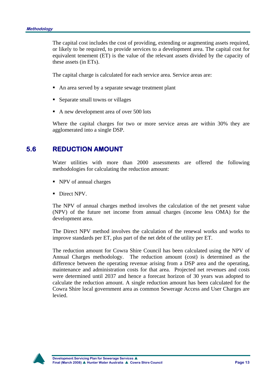The capital cost includes the cost of providing, extending or augmenting assets required, or likely to be required, to provide services to a development area. The capital cost for equivalent tenement (ET) is the value of the relevant assets divided by the capacity of these assets (in ETs).

The capital charge is calculated for each service area. Service areas are:

- An area served by a separate sewage treatment plant
- Separate small towns or villages
- A new development area of over 500 lots

Where the capital charges for two or more service areas are within 30% they are agglomerated into a single DSP.

### **5.6 REDUCTION AMOUNT**

Water utilities with more than 2000 assessments are offered the following methodologies for calculating the reduction amount:

- NPV of annual charges
- Direct NPV.

The NPV of annual charges method involves the calculation of the net present value (NPV) of the future net income from annual charges (income less OMA) for the development area.

The Direct NPV method involves the calculation of the renewal works and works to improve standards per ET, plus part of the net debt of the utility per ET.

The reduction amount for Cowra Shire Council has been calculated using the NPV of Annual Charges methodology. The reduction amount (cost) is determined as the difference between the operating revenue arising from a DSP area and the operating, maintenance and administration costs for that area. Projected net revenues and costs were determined until 2037 and hence a forecast horizon of 30 years was adopted to calculate the reduction amount. A single reduction amount has been calculated for the Cowra Shire local government area as common Sewerage Access and User Charges are levied.

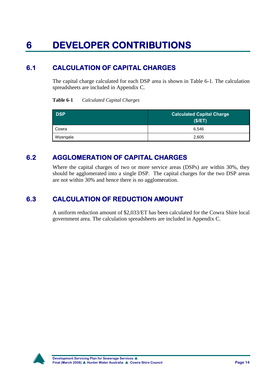# **6 DEVELOPER CONTRIBUTIONS**

## **6.1 CALCULATION OF CAPITAL CHARGES**

The capital charge calculated for each DSP area is shown in Table 6-1. The calculation spreadsheets are included in Appendix C.

#### **Table 6-1** *Calculated Capital Charges*

| <b>DSP</b> | <b>Calculated Capital Charge</b><br>(S/ET) |
|------------|--------------------------------------------|
| Cowra      | 6.546                                      |
| Wyangala   | 2,605                                      |

## **6.2 AGGLOMERATION OF CAPITAL CHARGES**

Where the capital charges of two or more service areas (DSPs) are within 30%, they should be agglomerated into a single DSP. The capital charges for the two DSP areas are not within 30% and hence there is no agglomeration.

## **6.3 CALCULATION OF REDUCTION AMOUNT**

A uniform reduction amount of \$2,033/ET has been calculated for the Cowra Shire local government area. The calculation spreadsheets are included in Appendix C.

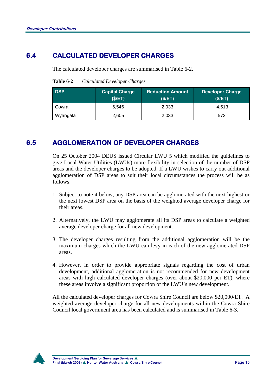## **6.4 CALCULATED DEVELOPER CHARGES**

The calculated developer charges are summarised in Table 6-2.

| <b>DSP</b> | <b>Capital Charge</b><br>(S/ET) | <b>Reduction Amount</b><br>(S/ET) | <b>Developer Ch</b><br>(S/ET) |
|------------|---------------------------------|-----------------------------------|-------------------------------|
| Cowra      | 6.546                           | 2,033                             | 4.513                         |
| Wyangala   | 2,605                           | 2,033                             | 572                           |

**Table 6-2** *Calculated Developer Charges* 

## **6.5 AGGLOMERATION OF DEVELOPER CHARGES**

On 25 October 2004 DEUS issued Circular LWU 5 which modified the guidelines to give Local Water Utilities (LWUs) more flexibility in selection of the number of DSP areas and the developer charges to be adopted. If a LWU wishes to carry out additional agglomeration of DSP areas to suit their local circumstances the process will be as follows:

- 1. Subject to note 4 below, any DSP area can be agglomerated with the next highest or the next lowest DSP area on the basis of the weighted average developer charge for their areas.
- 2. Alternatively, the LWU may agglomerate all its DSP areas to calculate a weighted average developer charge for all new development.
- 3. The developer charges resulting from the additional agglomeration will be the maximum charges which the LWU can levy in each of the new agglomerated DSP areas.
- 4. However, in order to provide appropriate signals regarding the cost of urban development, additional agglomeration is not recommended for new development areas with high calculated developer charges (over about \$20,000 per ET), where these areas involve a significant proportion of the LWU's new development.

All the calculated developer charges for Cowra Shire Council are below \$20,000/ET. A weighted average developer charge for all new developments within the Cowra Shire Council local government area has been calculated and is summarised in Table 6-3.



arge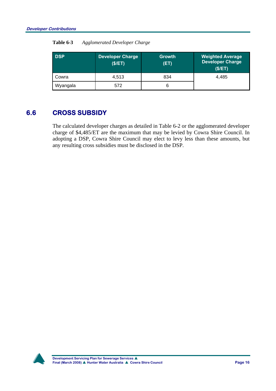| <b>DSP</b> | <b>Developer Charge</b><br>(\$/ET) | <b>Growth</b><br>(ET) | <b>Weighted Average</b><br><b>Developer Charge</b><br>(\$/ET) |
|------------|------------------------------------|-----------------------|---------------------------------------------------------------|
| Cowra      | 4.513                              | 834                   | 4,485                                                         |
| Wyangala   | 572                                |                       |                                                               |

### **Table 6-3** *Agglomerated Developer Charge*

## **6.6 CROSS SUBSIDY**

The calculated developer charges as detailed in Table 6-2 or the agglomerated developer charge of \$4,485/ET are the maximum that may be levied by Cowra Shire Council. In adopting a DSP, Cowra Shire Council may elect to levy less than these amounts, but any resulting cross subsidies must be disclosed in the DSP.

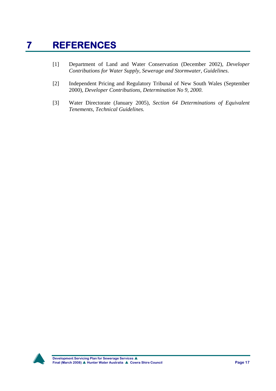# **7 REFERENCES**

- [1] Department of Land and Water Conservation (December 2002), *Developer Contributions for Water Supply, Sewerage and Stormwater, Guidelines*.
- [2] Independent Pricing and Regulatory Tribunal of New South Wales (September 2000), *Developer Contributions, Determination No 9, 2000*.
- [3] Water Directorate (January 2005), *Section 64 Determinations of Equivalent Tenements, Technical Guidelines.*

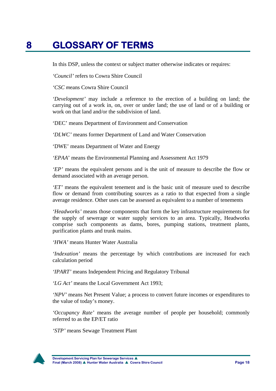## **8 GLOSSARY OF TERMS**

In this DSP, unless the context or subject matter otherwise indicates or requires:

*'Council'* refers to Cowra Shire Council

*'CSC m*eans Cowra Shire Council

*'Development'* may include a reference to the erection of a building on land; the carrying out of a work in, on, over or under land; the use of land or of a building or work on that land and/or the subdivision of land.

'DEC' means Department of Environment and Conservation

*'DLWC'* means former Department of Land and Water Conservation

'DWE' means Department of Water and Energy

*'EPAA*' means the Environmental Planning and Assessment Act 1979

*'EP'* means the equivalent persons and is the unit of measure to describe the flow or demand associated with an average person.

*'ET'* means the equivalent tenement and is the basic unit of measure used to describe flow or demand from contributing sources as a ratio to that expected from a single average residence. Other uses can be assessed as equivalent to a number of tenements

*'Headworks'* means those components that form the key infrastructure requirements for the supply of sewerage or water supply services to an area. Typically, Headworks comprise such components as dams, bores, pumping stations, treatment plants, purification plants and trunk mains.

*'HWA'* means Hunter Water Australia

*'Indexation'* means the percentage by which contributions are increased for each calculation period

*'IPART'* means Independent Pricing and Regulatory Tribunal

*'LG Act'* means the Local Government Act 1993;

*'NPV'* means Net Present Value; a process to convert future incomes or expenditures to the value of today's money.

*'Occupancy Rate'* means the average number of people per household; commonly referred to as the EP/ET ratio

*'STP'* means Sewage Treatment Plant

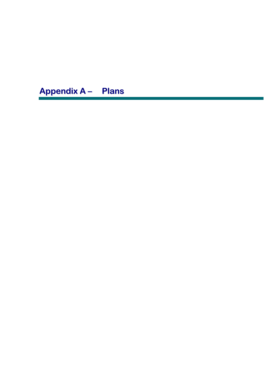**Appendix A – Plans**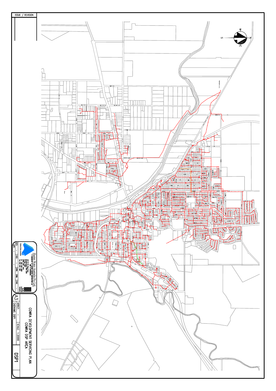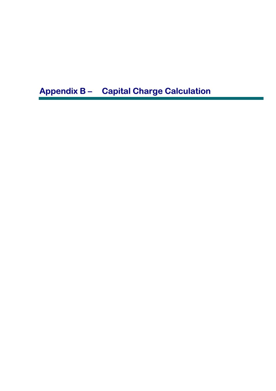**Appendix B – Capital Charge Calculation**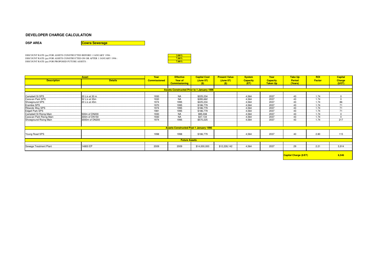#### **DEVELOPER CHARGE CALCULATION**

#### **DSP AREA** *Cowra Sewerage*

DISCOUNT RATE (pa) FOR ASSETS CONSTRUCTED BEFORE 1 JANUARY 1996 : **2.00% : 3.00% passets constructed on or a**<br>DISCOUNT RATE (pa) FOR ASSETS CONSTRUCTED ON OR AFTER 1 JANUARY 1996 : **2.00% : 2.00% passets :** *7.0***0% passets** 

| $3.00\%$ |  |
|----------|--|
| $7.00\%$ |  |
| $7.00\%$ |  |

|                                             | <b>Asset</b>                                                                                                                                                                         | Year                | <b>Effective</b>                                  | <b>Capital Cost</b> | <b>Present Value</b> | <b>System</b>   | Year            | <u> Take Up</u>        | <b>ROI</b>    | <b>Capital</b> |
|---------------------------------------------|--------------------------------------------------------------------------------------------------------------------------------------------------------------------------------------|---------------------|---------------------------------------------------|---------------------|----------------------|-----------------|-----------------|------------------------|---------------|----------------|
| <b>Description</b>                          | <b>Details</b>                                                                                                                                                                       | <b>Commissioned</b> | Year of                                           | (June 07)           | (June 07)            | <b>Capacity</b> | <b>Capacity</b> | <b>Period</b>          | <b>Factor</b> | <b>Charge</b>  |
|                                             |                                                                                                                                                                                      |                     | <b>Commissioning</b>                              | (S)                 | (S)                  | (ET)            | <b>Taken Up</b> | (Years)                |               | (S/ET)         |
|                                             |                                                                                                                                                                                      |                     |                                                   |                     |                      |                 |                 |                        |               |                |
|                                             |                                                                                                                                                                                      |                     | <b>Assets Constructed Prior to 1 January 1996</b> |                     |                      |                 |                 |                        |               |                |
|                                             |                                                                                                                                                                                      |                     |                                                   |                     |                      |                 |                 |                        |               |                |
|                                             | 1930<br><b>NA</b><br>4,564<br>43<br>1.74<br>20 L/s at 30 m<br>\$225,234<br>$\Omega$<br>1930<br><b>NA</b><br>4,564<br>43<br>1.74<br>52 L/s at 35m<br>\$285,662<br>2037<br>$\mathbf 0$ |                     |                                                   |                     |                      |                 |                 |                        |               |                |
| Campbell St SPS<br>2037<br>Caravan Park SPS |                                                                                                                                                                                      |                     |                                                   |                     |                      |                 |                 |                        |               |                |
| Showground SPS                              | 20 L/s at 45m                                                                                                                                                                        | 1974                | 1995                                              | \$225,234           |                      | 4.564           | 2037            | 43                     | 1.74          | 86             |
| Erambie SPS                                 |                                                                                                                                                                                      | 1970                | 1995                                              | \$186,779           |                      | 4,564           | 2037            | 43                     | 1.74          | 71             |
| Ribands Way SPS                             |                                                                                                                                                                                      | 1974                | 1995                                              | \$186,779           |                      | 4,564           | 2037            | 43                     | 1.74          | 71             |
| <b>Edgell Park SPS</b>                      |                                                                                                                                                                                      | 1981                | 1995                                              | \$186,779           |                      | 4,564           | 2037            | 43                     | 1.74          | 71             |
| Campbell St Rising Main                     | 500m of DN200                                                                                                                                                                        | 1930                | <b>NA</b>                                         | \$95,038            |                      | 4.564           | 2037            | 43                     | 1.74          | $\Omega$       |
| Caravan Park Rising Main                    | 300m of DN150                                                                                                                                                                        | 1930                | <b>NA</b>                                         | \$47,134            |                      | 4,564           | 2037            | 43                     | 1.74          |                |
| Showground Rising Main                      | 3000m of DN200                                                                                                                                                                       | 1974                | 1995                                              | \$570,225           |                      | 4.564           | 2037            | 43                     | 1.74          | 217            |
|                                             |                                                                                                                                                                                      |                     |                                                   |                     |                      |                 |                 |                        |               |                |
|                                             |                                                                                                                                                                                      |                     |                                                   |                     |                      |                 |                 |                        |               |                |
|                                             |                                                                                                                                                                                      |                     | <b>Assets Constructed Post 1 January 1996</b>     |                     |                      |                 |                 |                        |               |                |
|                                             |                                                                                                                                                                                      |                     |                                                   |                     |                      |                 |                 |                        |               |                |
| Young Road SPS                              |                                                                                                                                                                                      | 1998                | 1998                                              | \$186,779           |                      | 4,564           | 2037            | 40                     | 2.80          | 115            |
|                                             |                                                                                                                                                                                      |                     |                                                   |                     |                      |                 |                 |                        |               |                |
|                                             |                                                                                                                                                                                      |                     | <b>Future Assets</b>                              |                     |                      |                 |                 |                        |               |                |
| Sewage Treatment Plant                      | 14800 EP                                                                                                                                                                             | 2009                | 2009                                              | \$14,000,000        | \$12,228,142         | 4,564           | 2037            | 29                     | 2.21          | 5,914          |
|                                             |                                                                                                                                                                                      |                     |                                                   |                     |                      |                 |                 |                        |               |                |
|                                             |                                                                                                                                                                                      |                     |                                                   |                     |                      |                 |                 |                        |               |                |
|                                             |                                                                                                                                                                                      |                     |                                                   |                     |                      |                 |                 | Capital Charge (\$/ET) |               | 6,546          |
|                                             |                                                                                                                                                                                      |                     |                                                   |                     |                      |                 |                 |                        |               |                |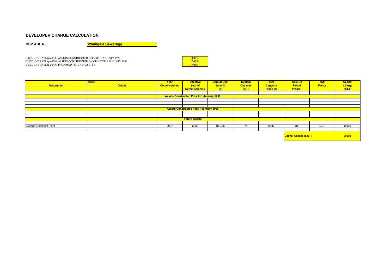#### **DEVELOPER CHARGE CALCULATION**

**DSP AREA**

**Wyangala Sewerage**

DISCOUNT RATE (pa) FOR ASSETS CONSTRUCTED BEFORE 1 JANUARY 1996 :DISCOUNT RATE (pa) FOR ASSETS CONSTRUCTED ON OR AFTER 1 JANUARY 1996 :<br>DISCOUNT RATE (pa) FOR PROPOSED FUTURE ASSETS : **7.00%** 



|                        | <b>Asset</b>   | Year                | <b>Effective</b>                                  | <b>Capital Cost</b> | <b>System</b>   | Year            | <b>Take Up</b>                | <b>ROI</b>    | <b>Capital</b> |
|------------------------|----------------|---------------------|---------------------------------------------------|---------------------|-----------------|-----------------|-------------------------------|---------------|----------------|
| <b>Description</b>     | <b>Details</b> | <b>Commissioned</b> | Year of                                           | (June 07)           | <b>Capacity</b> | <b>Capacity</b> | <b>Period</b>                 | <b>Factor</b> | <b>Charge</b>  |
|                        |                |                     | <b>Commissioning</b>                              | (S)                 | (ET)            | <b>Taken Up</b> | (Years)                       |               | (S/ET)         |
|                        |                |                     |                                                   |                     |                 |                 |                               |               |                |
|                        |                |                     | <b>Assets Constructed Prior to 1 January 1996</b> |                     |                 |                 |                               |               |                |
|                        |                |                     |                                                   |                     |                 |                 |                               |               |                |
|                        |                |                     |                                                   |                     |                 |                 |                               |               |                |
|                        |                |                     |                                                   |                     |                 |                 |                               |               |                |
|                        |                |                     | <b>Assets Constructed Post 1 January 1996</b>     |                     |                 |                 |                               |               |                |
|                        |                |                     |                                                   |                     |                 |                 |                               |               |                |
|                        |                |                     |                                                   |                     |                 |                 |                               |               |                |
|                        |                |                     | <b>Future Assets</b>                              |                     |                 |                 |                               |               |                |
|                        |                |                     |                                                   |                     |                 |                 |                               |               |                |
| Sewage Treatment Plant |                | 2007                | 2007                                              | \$80,000            | 71              | 2037            | 31                            | 2.31          | 2,605          |
|                        |                |                     |                                                   |                     |                 |                 |                               |               |                |
|                        |                |                     |                                                   |                     |                 |                 | <b>Capital Charge (\$/ET)</b> |               | 2,605          |
|                        |                |                     |                                                   |                     |                 |                 |                               |               |                |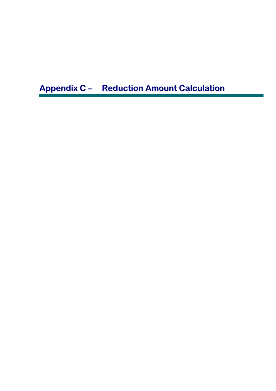**Appendix C – Reduction Amount Calculation**